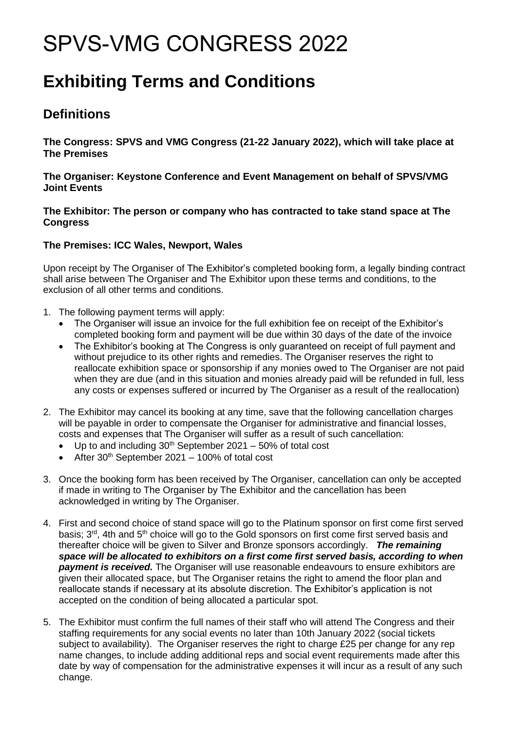## SPVS-VMG CONGRESS 2022

## **Exhibiting Terms and Conditions**

## **Definitions**

**The Congress: SPVS and VMG Congress (21-22 January 2022), which will take place at The Premises**

**The Organiser: Keystone Conference and Event Management on behalf of SPVS/VMG Joint Events**

**The Exhibitor: The person or company who has contracted to take stand space at The Congress**

## **The Premises: ICC Wales, Newport, Wales**

Upon receipt by The Organiser of The Exhibitor's completed booking form, a legally binding contract shall arise between The Organiser and The Exhibitor upon these terms and conditions, to the exclusion of all other terms and conditions.

- 1. The following payment terms will apply:
	- The Organiser will issue an invoice for the full exhibition fee on receipt of the Exhibitor's completed booking form and payment will be due within 30 days of the date of the invoice
	- The Exhibitor's booking at The Congress is only guaranteed on receipt of full payment and without prejudice to its other rights and remedies. The Organiser reserves the right to reallocate exhibition space or sponsorship if any monies owed to The Organiser are not paid when they are due (and in this situation and monies already paid will be refunded in full, less any costs or expenses suffered or incurred by The Organiser as a result of the reallocation)
- 2. The Exhibitor may cancel its booking at any time, save that the following cancellation charges will be payable in order to compensate the Organiser for administrative and financial losses, costs and expenses that The Organiser will suffer as a result of such cancellation:
	- Up to and including  $30<sup>th</sup>$  September 2021 50% of total cost
	- After  $30<sup>th</sup>$  September 2021 100% of total cost
- 3. Once the booking form has been received by The Organiser, cancellation can only be accepted if made in writing to The Organiser by The Exhibitor and the cancellation has been acknowledged in writing by The Organiser.
- 4. First and second choice of stand space will go to the Platinum sponsor on first come first served basis; 3<sup>rd</sup>, 4th and 5<sup>th</sup> choice will go to the Gold sponsors on first come first served basis and thereafter choice will be given to Silver and Bronze sponsors accordingly. *The remaining space will be allocated to exhibitors on a first come first served basis, according to when payment is received.* The Organiser will use reasonable endeavours to ensure exhibitors are given their allocated space, but The Organiser retains the right to amend the floor plan and reallocate stands if necessary at its absolute discretion. The Exhibitor's application is not accepted on the condition of being allocated a particular spot.
- 5. The Exhibitor must confirm the full names of their staff who will attend The Congress and their staffing requirements for any social events no later than 10th January 2022 (social tickets subject to availability). The Organiser reserves the right to charge £25 per change for any rep name changes, to include adding additional reps and social event requirements made after this date by way of compensation for the administrative expenses it will incur as a result of any such change.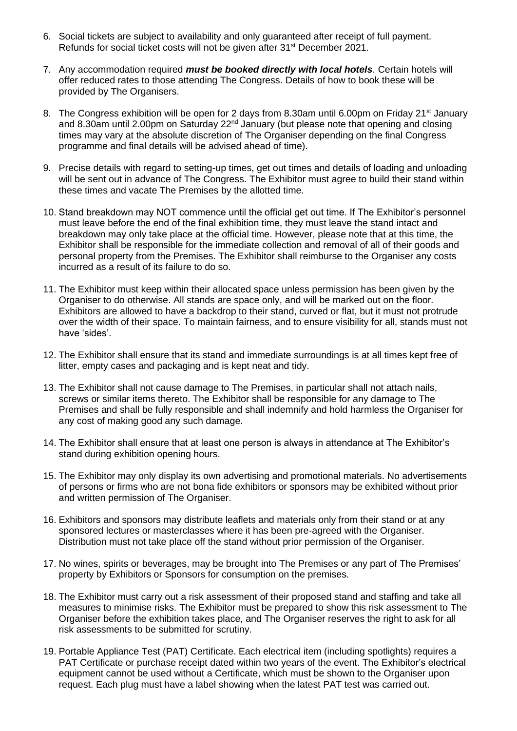- 6. Social tickets are subject to availability and only guaranteed after receipt of full payment. Refunds for social ticket costs will not be given after 31<sup>st</sup> December 2021.
- 7. Any accommodation required *must be booked directly with local hotels*. Certain hotels will offer reduced rates to those attending The Congress. Details of how to book these will be provided by The Organisers.
- 8. The Congress exhibition will be open for 2 days from 8.30am until 6.00pm on Friday 21<sup>st</sup> January and 8.30am until 2.00pm on Saturday 22<sup>nd</sup> January (but please note that opening and closing times may vary at the absolute discretion of The Organiser depending on the final Congress programme and final details will be advised ahead of time).
- 9. Precise details with regard to setting-up times, get out times and details of loading and unloading will be sent out in advance of The Congress. The Exhibitor must agree to build their stand within these times and vacate The Premises by the allotted time.
- 10. Stand breakdown may NOT commence until the official get out time. If The Exhibitor's personnel must leave before the end of the final exhibition time, they must leave the stand intact and breakdown may only take place at the official time. However, please note that at this time, the Exhibitor shall be responsible for the immediate collection and removal of all of their goods and personal property from the Premises. The Exhibitor shall reimburse to the Organiser any costs incurred as a result of its failure to do so.
- 11. The Exhibitor must keep within their allocated space unless permission has been given by the Organiser to do otherwise. All stands are space only, and will be marked out on the floor. Exhibitors are allowed to have a backdrop to their stand, curved or flat, but it must not protrude over the width of their space. To maintain fairness, and to ensure visibility for all, stands must not have 'sides'.
- 12. The Exhibitor shall ensure that its stand and immediate surroundings is at all times kept free of litter, empty cases and packaging and is kept neat and tidy.
- 13. The Exhibitor shall not cause damage to The Premises, in particular shall not attach nails, screws or similar items thereto. The Exhibitor shall be responsible for any damage to The Premises and shall be fully responsible and shall indemnify and hold harmless the Organiser for any cost of making good any such damage.
- 14. The Exhibitor shall ensure that at least one person is always in attendance at The Exhibitor's stand during exhibition opening hours.
- 15. The Exhibitor may only display its own advertising and promotional materials. No advertisements of persons or firms who are not bona fide exhibitors or sponsors may be exhibited without prior and written permission of The Organiser.
- 16. Exhibitors and sponsors may distribute leaflets and materials only from their stand or at any sponsored lectures or masterclasses where it has been pre-agreed with the Organiser. Distribution must not take place off the stand without prior permission of the Organiser.
- 17. No wines, spirits or beverages, may be brought into The Premises or any part of The Premises' property by Exhibitors or Sponsors for consumption on the premises.
- 18. The Exhibitor must carry out a risk assessment of their proposed stand and staffing and take all measures to minimise risks. The Exhibitor must be prepared to show this risk assessment to The Organiser before the exhibition takes place, and The Organiser reserves the right to ask for all risk assessments to be submitted for scrutiny.
- 19. Portable Appliance Test (PAT) Certificate. Each electrical item (including spotlights) requires a PAT Certificate or purchase receipt dated within two years of the event. The Exhibitor's electrical equipment cannot be used without a Certificate, which must be shown to the Organiser upon request. Each plug must have a label showing when the latest PAT test was carried out.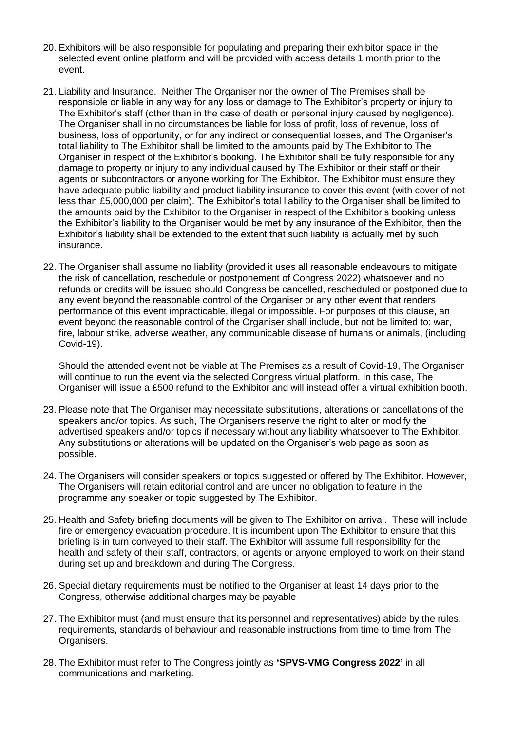- 20. Exhibitors will be also responsible for populating and preparing their exhibitor space in the selected event online platform and will be provided with access details 1 month prior to the event.
- 21. Liability and Insurance. Neither The Organiser nor the owner of The Premises shall be responsible or liable in any way for any loss or damage to The Exhibitor's property or injury to The Exhibitor's staff (other than in the case of death or personal injury caused by negligence). The Organiser shall in no circumstances be liable for loss of profit, loss of revenue, loss of business, loss of opportunity, or for any indirect or consequential losses, and The Organiser's total liability to The Exhibitor shall be limited to the amounts paid by The Exhibitor to The Organiser in respect of the Exhibitor's booking. The Exhibitor shall be fully responsible for any damage to property or injury to any individual caused by The Exhibitor or their staff or their agents or subcontractors or anyone working for The Exhibitor. The Exhibitor must ensure they have adequate public liability and product liability insurance to cover this event (with cover of not less than £5,000,000 per claim). The Exhibitor's total liability to the Organiser shall be limited to the amounts paid by the Exhibitor to the Organiser in respect of the Exhibitor's booking unless the Exhibitor's liability to the Organiser would be met by any insurance of the Exhibitor, then the Exhibitor's liability shall be extended to the extent that such liability is actually met by such insurance.
- 22. The Organiser shall assume no liability (provided it uses all reasonable endeavours to mitigate the risk of cancellation, reschedule or postponement of Congress 2022) whatsoever and no refunds or credits will be issued should Congress be cancelled, rescheduled or postponed due to any event beyond the reasonable control of the Organiser or any other event that renders performance of this event impracticable, illegal or impossible. For purposes of this clause, an event beyond the reasonable control of the Organiser shall include, but not be limited to: war, fire, labour strike, adverse weather, any communicable disease of humans or animals, (including Covid-19).

Should the attended event not be viable at The Premises as a result of Covid-19, The Organiser will continue to run the event via the selected Congress virtual platform. In this case, The Organiser will issue a £500 refund to the Exhibitor and will instead offer a virtual exhibition booth.

- 23. Please note that The Organiser may necessitate substitutions, alterations or cancellations of the speakers and/or topics. As such, The Organisers reserve the right to alter or modify the advertised speakers and/or topics if necessary without any liability whatsoever to The Exhibitor. Any substitutions or alterations will be updated on the Organiser's web page as soon as possible.
- 24. The Organisers will consider speakers or topics suggested or offered by The Exhibitor. However, The Organisers will retain editorial control and are under no obligation to feature in the programme any speaker or topic suggested by The Exhibitor.
- 25. Health and Safety briefing documents will be given to The Exhibitor on arrival. These will include fire or emergency evacuation procedure. It is incumbent upon The Exhibitor to ensure that this briefing is in turn conveyed to their staff. The Exhibitor will assume full responsibility for the health and safety of their staff, contractors, or agents or anyone employed to work on their stand during set up and breakdown and during The Congress.
- 26. Special dietary requirements must be notified to the Organiser at least 14 days prior to the Congress, otherwise additional charges may be payable
- 27. The Exhibitor must (and must ensure that its personnel and representatives) abide by the rules, requirements, standards of behaviour and reasonable instructions from time to time from The Organisers.
- 28. The Exhibitor must refer to The Congress jointly as **'SPVS-VMG Congress 2022'** in all communications and marketing.